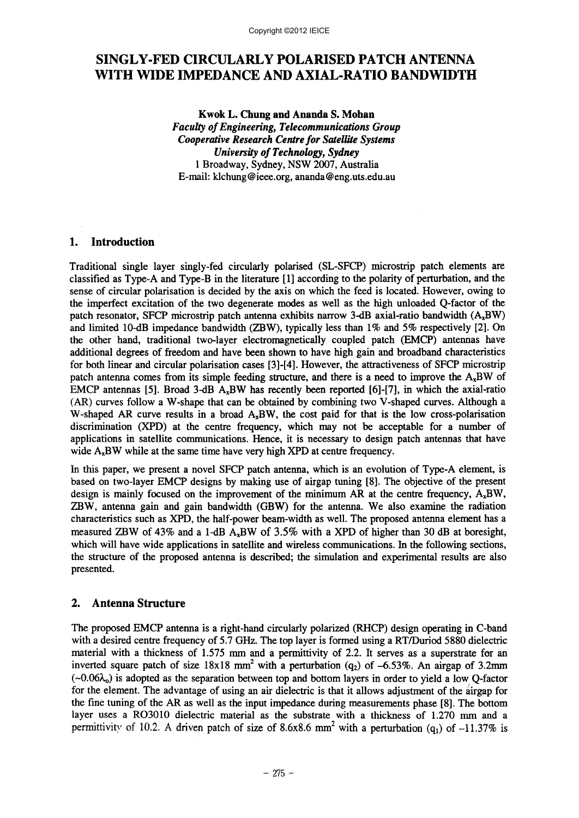# SINGLY -FED CIRCULARLY POLARISED PATCH ANTENNA WITH WIDE IMPEDANCE AND AXIAL-RATIO BANDWIDTH

Kwok L. Chung and Ananda S. Mohan *Faculty of Engineering, Telecommunications Group Cooperative Research Centre for Satellite Systems University of Technology, Sydney* 1 Broadway, Sydney, NSW 2007, Australia E-mail: [klchung@ieee.org.ananda@eng.uts.edu.au](mailto:klchung@ieee.org.ananda@eng.uts.edu.au)

# 1. Introduction

Traditional single layer singly-fed circularly polarised (SL-SFCP) microstrip patch elements are classified as Type-A and Type-B in the literature [1] according to the polarity of perturbation, and the sense of circular polarisation is decided by the axis on which the feed is located. However, owing to the imperfect excitation of the two degenerate modes as well as the high unloaded Q-factor of the patch resonator, SFCP microstrip patch antenna exhibits narrow 3-dB axial-ratio bandwidth  $(A_xBW)$ and limited 10-dB impedance bandwidth (ZBW), typically less than  $1\%$  and  $5\%$  respectively [2]. On the other hand, traditional two-layer electromagnetically coupled patch (EMCP) antennas have additional degrees of freedom and have been shown to have high gain and broadband characteristics for both linear and circular polarisation cases [3]-[4]. However, the attractiveness of SFCP microstrip patch antenna comes from its simple feeding structure, and there is a need to improve the  $A_xBW$  of EMCP antennas [5]. Broad 3-dB  $A<sub>x</sub>BW$  has recently been reported [6]-[7], in which the axial-ratio (AR) curves follow a W-shape that can be obtained by combining two V-shaped curves. Although a W-shaped AR curve results in a broad  $A_xBW$ , the cost paid for that is the low cross-polarisation discrimination (XPD) at the centre frequency, which may not be acceptable for a number of applications in satellite communications. Hence, it is necessary to design patch antennas that have wide  $A_xBW$  while at the same time have very high XPD at centre frequency.

In this paper, we present a novel SFCP patch antenna, which is an evolution of Type-A element, is based on two-layer EMCP designs by making use of airgap tuning [8]. The objective of the present design is mainly focused on the improvement of the minimum AR at the centre frequency,  $A_xBW$ , ZBW, antenna gain and gain bandwidth (GBW) for the antenna. We also examine the radiation characteristics such as XPD, the half-power beam-width as well. The proposed antenna element has a measured ZBW of 43% and a I-dB AxBW of 3.5% with a XPD of higher than 30 dB at boresight, which will have wide applications in satellite and wireless communications. In the following sections, the structure of the proposed antenna is described; the simulation and experimental results are also presented.

# 2. Antenna Structure

The proposed EMCP antenna is a right-hand circularly polarized (RHCP) design operating in C-band with a desired centre frequency of 5.7 GHz. The top layer is formed using a RT/Duriod 5880 dielectric material with a thickness of 1.575 mm and a permittivity of  $2.2$ . It serves as a superstrate for an inverted square patch of size  $18x18$  mm<sup>2</sup> with a perturbation (q<sub>2</sub>) of -6.53%. An airgap of 3.2mm  $(\sim 0.06\lambda_0)$  is adopted as the separation between top and bottom layers in order to yield a low O-factor for the element. The advantage of using an air dielectric is that it allows adjustment of the airgap for the fine tuning of the AR as well as the input impedance during measurements phase [8]. The bottom layer uses a RO3010 dielectric material as the substrate with a thickness of 1.270 mm and a permittivity of 10.2. A driven patch of size of 8.6x8.6 mm<sup>2</sup> with a perturbation (q<sub>1</sub>) of -11.37% is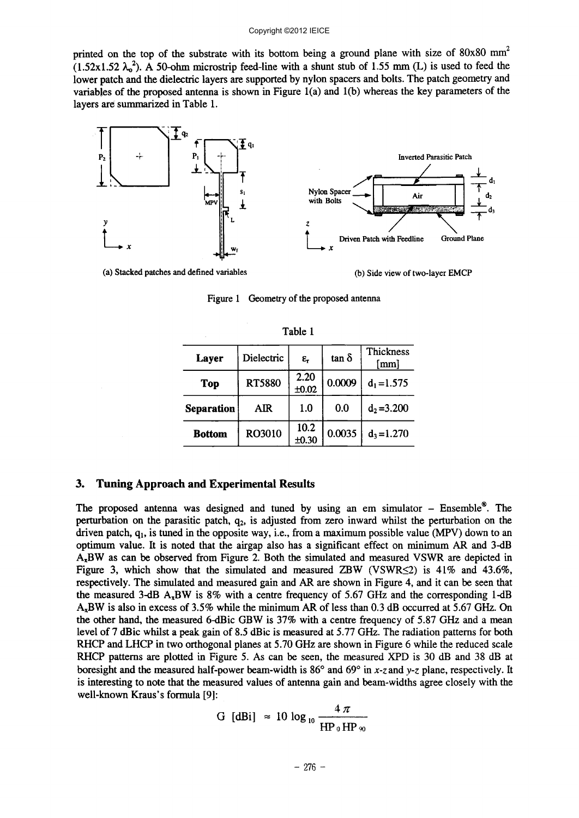printed on the top of the substrate with its bottom being a ground plane with size of  $80x80$  mm<sup>2</sup>  $(1.52 \times 1.52 \lambda_0^2)$ . A 50-ohm microstrip feed-line with a shunt stub of 1.55 mm (L) is used to feed the lower patch and the dielectric layers are supported by nylon spacers and bolts. The patch geometry and variables of the proposed antenna is shown in Figure l(a) and l(b) whereas the key parameters of the layers are summarized in Table 1.



(a) Stacked patches and defined variables

(b) Side view of two-layer EMCP

| Table 1       |               |                    |              |                   |
|---------------|---------------|--------------------|--------------|-------------------|
| Layer         | Dielectric    | $\epsilon_{\rm r}$ | $tan \delta$ | Thickness<br>[mm] |
| <b>Top</b>    | <b>RT5880</b> | 2.20<br>±0.02      | 0.0009       | $d_1 = 1.575$     |
| Separation    | <b>AIR</b>    | 1.0                | 0.0          | $d_2 = 3.200$     |
| <b>Bottom</b> | RO3010        | 10.2<br>±0.30      | 0.0035       | $d_3 = 1.270$     |

Figure 1 Geometry of the proposed antenna

#### 3. Tuning Approach and Experimental Results

The proposed antenna was designed and tuned by using an em simulator - Ensemble<sup>®</sup>. The perturbation on the parasitic patch,  $q_2$ , is adjusted from zero inward whilst the perturbation on the driven patch,  $q_1$ , is tuned in the opposite way, i.e., from a maximum possible value (MPV) down to an optimum value. It is noted that the airgap also has a significant effect on minimum AR and 3-dB AxBW as can be observed from Figure 2. Both the simulated and measured VSWR are depicted in Figure 3, which show that the simulated and measured ZBW (VSWR $\leq$ 2) is 41% and 43.6%, respectively. The simulated and measured gain and AR are shown in Figure 4, and it can be seen that the measured 3-dB  $A_7BW$  is 8% with a centre frequency of 5.67 GHz and the corresponding 1-dB AxBW is also in excess of 3.5% while the minimum AR of less than 0.3 dB occurred at 5.67 GHz. On the other hand, the measured 6-dBic GBW is 37% with a centre frequency of 5.87 GHz and a mean level of 7 dBic whilst a peak gain of 8.5 dBic is measured at 5.77 GHz. The radiation patterns for both RHCP and LHCP in two orthogonal planes at 5.70 GHz are shown in Figure 6 while the reduced scale RHCP patterns are plotted in Figure 5. As can be seen, the measured XPD is 30 dB and 38 dB at boresight and the measured half-power beam-width is 86° and 69° in x-z and *y-z* plane, respectively. It is interesting to note that the measured values of antenna gain and beam-widths agree closely with the well-known Kraus's formula [9]:

$$
G \text{ [dBi]} \approx 10 \log_{10} \frac{4 \pi}{HP_0 HP_{90}}
$$

 $-276 -$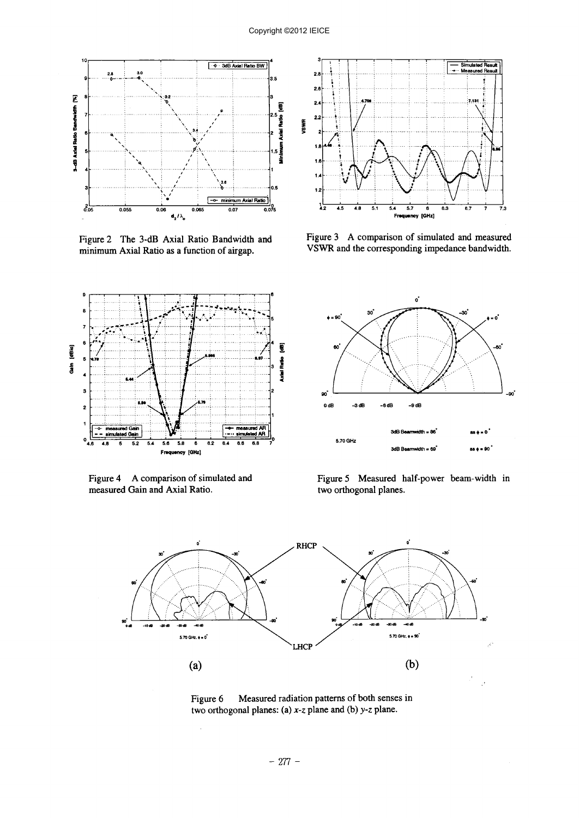

minimum Axial Ratio as a function of airgap. VSWR and the corresponding impedance bandwidth.



measured Gain and Axial Ratio.



Figure 2 The 3-dB Axial Ratio Bandwidth and Figure 3 A comparison of simulated and measured



Figure 4 A comparison of simulated and Figure 5 Measured half-power beam-width in measured Gain and Axial Ratio. two orthogonal planes.



Figure 6 Measured radiation patterns of both senses in two orthogonal planes: (a)  $x$ -z plane and (b)  $y$ -z plane.